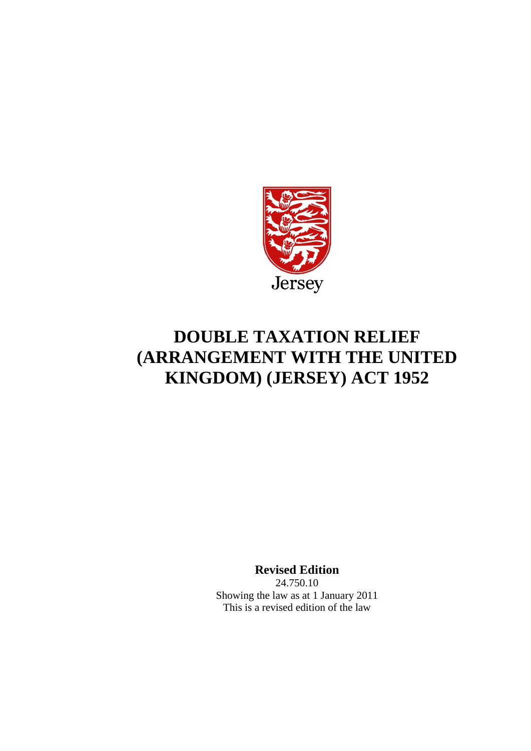

# **DOUBLE TAXATION RELIEF (ARRANGEMENT WITH THE UNITED KINGDOM) (JERSEY) ACT 1952**

**Revised Edition**

24.750.10 Showing the law as at 1 January 2011 This is a revised edition of the law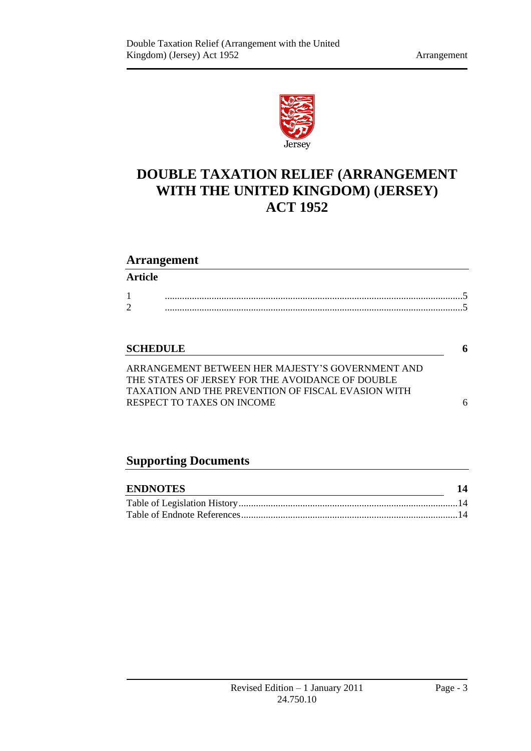

## **DOUBLE TAXATION RELIEF (ARRANGEMENT WITH THE UNITED KINGDOM) (JERSEY) ACT 1952**

#### **Arrangement**

#### **Article**

| ∼<br>- |  |
|--------|--|

#### **[SCHEDULE](#page-5-0) 6**

[ARRANGEMENT BETWEEN HER MAJESTY'S GOVERNMENT AND](#page-5-1)  THE STATES OF JERSEY [FOR THE AVOIDANCE OF](#page-5-1) DOUBLE [TAXATION AND THE PREVENTION OF FISCAL EVASION WITH](#page-5-1)  [RESPECT TO TAXES ON INCOME](#page-5-1) 6

### **Supporting Documents**

| <b>ENDNOTES</b> |  |
|-----------------|--|
|                 |  |
|                 |  |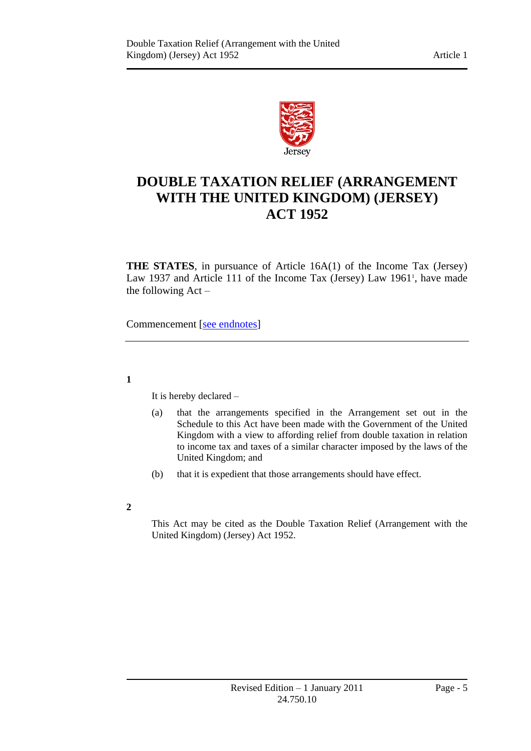

### **DOUBLE TAXATION RELIEF (ARRANGEMENT WITH THE UNITED KINGDOM) (JERSEY) ACT 1952**

**THE STATES**, in pursuance of Article 16A(1) of the Income Tax (Jersey) Law 1937 and Article 111 of the Income Tax (Jersey) Law 1961<sup>1</sup>, have made the following Act –

Commencement [\[see endnotes\]](#page-13-3)

<span id="page-4-0"></span>**1**

It is hereby declared –

- (a) that the arrangements specified in the Arrangement set out in the Schedule to this Act have been made with the Government of the United Kingdom with a view to affording relief from double taxation in relation to income tax and taxes of a similar character imposed by the laws of the United Kingdom; and
- (b) that it is expedient that those arrangements should have effect.
- <span id="page-4-1"></span>**2**

This Act may be cited as the Double Taxation Relief (Arrangement with the United Kingdom) (Jersey) Act 1952.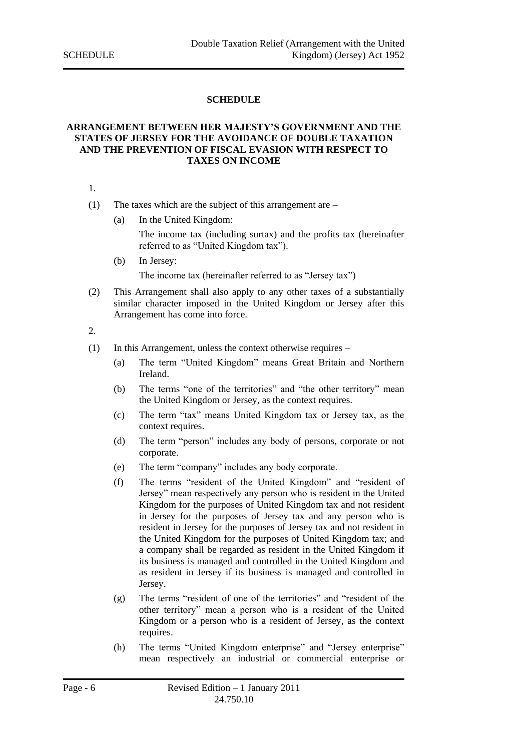#### **SCHEDULE**

#### <span id="page-5-1"></span><span id="page-5-0"></span>**ARRANGEMENT BETWEEN HER MAJESTY'S GOVERNMENT AND THE STATES OF JERSEY FOR THE AVOIDANCE OF DOUBLE TAXATION AND THE PREVENTION OF FISCAL EVASION WITH RESPECT TO TAXES ON INCOME**

1.

- (1) The taxes which are the subject of this arrangement are
	- (a) In the United Kingdom:

The income tax (including surtax) and the profits tax (hereinafter referred to as "United Kingdom tax").

(b) In Jersey:

The income tax (hereinafter referred to as "Jersey tax")

(2) This Arrangement shall also apply to any other taxes of a substantially similar character imposed in the United Kingdom or Jersey after this Arrangement has come into force.

#### 2.

- (1) In this Arrangement, unless the context otherwise requires
	- (a) The term "United Kingdom" means Great Britain and Northern Ireland.
	- (b) The terms "one of the territories" and "the other territory" mean the United Kingdom or Jersey, as the context requires.
	- (c) The term "tax" means United Kingdom tax or Jersey tax, as the context requires.
	- (d) The term "person" includes any body of persons, corporate or not corporate.
	- (e) The term "company" includes any body corporate.
	- (f) The terms "resident of the United Kingdom" and "resident of Jersey" mean respectively any person who is resident in the United Kingdom for the purposes of United Kingdom tax and not resident in Jersey for the purposes of Jersey tax and any person who is resident in Jersey for the purposes of Jersey tax and not resident in the United Kingdom for the purposes of United Kingdom tax; and a company shall be regarded as resident in the United Kingdom if its business is managed and controlled in the United Kingdom and as resident in Jersey if its business is managed and controlled in Jersey.
	- (g) The terms "resident of one of the territories" and "resident of the other territory" mean a person who is a resident of the United Kingdom or a person who is a resident of Jersey, as the context requires.
	- (h) The terms "United Kingdom enterprise" and "Jersey enterprise" mean respectively an industrial or commercial enterprise or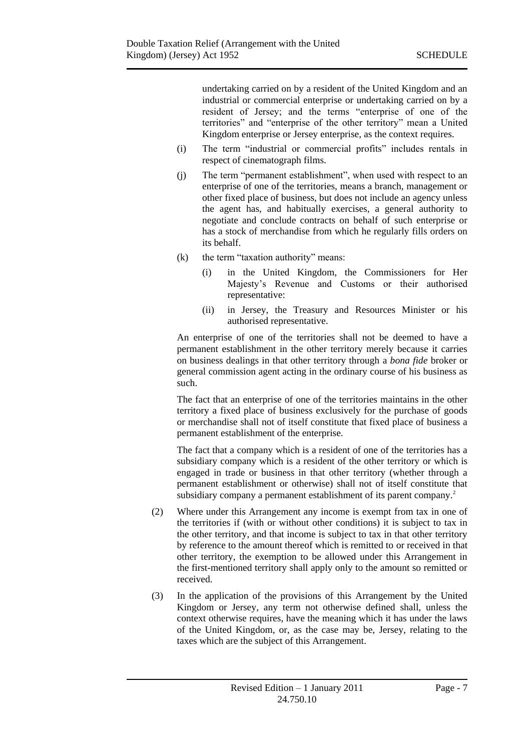undertaking carried on by a resident of the United Kingdom and an industrial or commercial enterprise or undertaking carried on by a resident of Jersey; and the terms "enterprise of one of the territories" and "enterprise of the other territory" mean a United Kingdom enterprise or Jersey enterprise, as the context requires.

- (i) The term "industrial or commercial profits" includes rentals in respect of cinematograph films.
- (j) The term "permanent establishment", when used with respect to an enterprise of one of the territories, means a branch, management or other fixed place of business, but does not include an agency unless the agent has, and habitually exercises, a general authority to negotiate and conclude contracts on behalf of such enterprise or has a stock of merchandise from which he regularly fills orders on its behalf.
- (k) the term "taxation authority" means:
	- (i) in the United Kingdom, the Commissioners for Her Majesty's Revenue and Customs or their authorised representative:
	- (ii) in Jersey, the Treasury and Resources Minister or his authorised representative.

An enterprise of one of the territories shall not be deemed to have a permanent establishment in the other territory merely because it carries on business dealings in that other territory through a *bona fide* broker or general commission agent acting in the ordinary course of his business as such.

The fact that an enterprise of one of the territories maintains in the other territory a fixed place of business exclusively for the purchase of goods or merchandise shall not of itself constitute that fixed place of business a permanent establishment of the enterprise.

The fact that a company which is a resident of one of the territories has a subsidiary company which is a resident of the other territory or which is engaged in trade or business in that other territory (whether through a permanent establishment or otherwise) shall not of itself constitute that subsidiary company a permanent establishment of its parent company.<sup>2</sup>

- (2) Where under this Arrangement any income is exempt from tax in one of the territories if (with or without other conditions) it is subject to tax in the other territory, and that income is subject to tax in that other territory by reference to the amount thereof which is remitted to or received in that other territory, the exemption to be allowed under this Arrangement in the first-mentioned territory shall apply only to the amount so remitted or received.
- (3) In the application of the provisions of this Arrangement by the United Kingdom or Jersey, any term not otherwise defined shall, unless the context otherwise requires, have the meaning which it has under the laws of the United Kingdom, or, as the case may be, Jersey, relating to the taxes which are the subject of this Arrangement.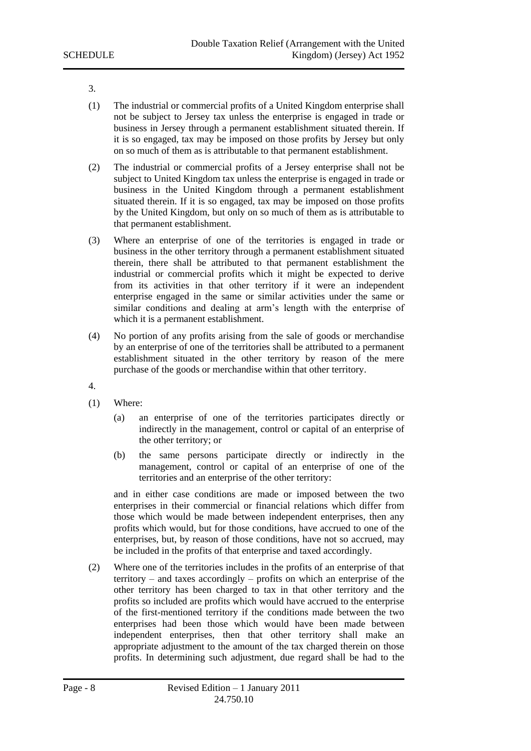3.

- (1) The industrial or commercial profits of a United Kingdom enterprise shall not be subject to Jersey tax unless the enterprise is engaged in trade or business in Jersey through a permanent establishment situated therein. If it is so engaged, tax may be imposed on those profits by Jersey but only on so much of them as is attributable to that permanent establishment.
- (2) The industrial or commercial profits of a Jersey enterprise shall not be subject to United Kingdom tax unless the enterprise is engaged in trade or business in the United Kingdom through a permanent establishment situated therein. If it is so engaged, tax may be imposed on those profits by the United Kingdom, but only on so much of them as is attributable to that permanent establishment.
- (3) Where an enterprise of one of the territories is engaged in trade or business in the other territory through a permanent establishment situated therein, there shall be attributed to that permanent establishment the industrial or commercial profits which it might be expected to derive from its activities in that other territory if it were an independent enterprise engaged in the same or similar activities under the same or similar conditions and dealing at arm's length with the enterprise of which it is a permanent establishment.
- (4) No portion of any profits arising from the sale of goods or merchandise by an enterprise of one of the territories shall be attributed to a permanent establishment situated in the other territory by reason of the mere purchase of the goods or merchandise within that other territory.
- 4.
- (1) Where:
	- (a) an enterprise of one of the territories participates directly or indirectly in the management, control or capital of an enterprise of the other territory; or
	- (b) the same persons participate directly or indirectly in the management, control or capital of an enterprise of one of the territories and an enterprise of the other territory:

and in either case conditions are made or imposed between the two enterprises in their commercial or financial relations which differ from those which would be made between independent enterprises, then any profits which would, but for those conditions, have accrued to one of the enterprises, but, by reason of those conditions, have not so accrued, may be included in the profits of that enterprise and taxed accordingly.

(2) Where one of the territories includes in the profits of an enterprise of that territory – and taxes accordingly – profits on which an enterprise of the other territory has been charged to tax in that other territory and the profits so included are profits which would have accrued to the enterprise of the first-mentioned territory if the conditions made between the two enterprises had been those which would have been made between independent enterprises, then that other territory shall make an appropriate adjustment to the amount of the tax charged therein on those profits. In determining such adjustment, due regard shall be had to the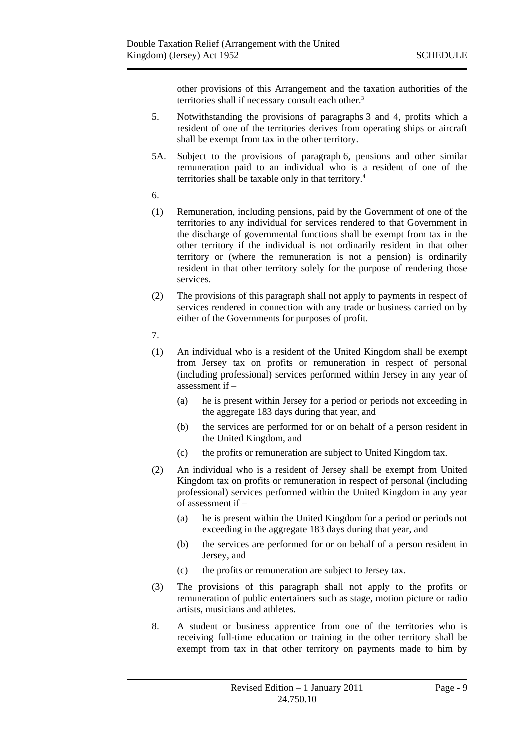other provisions of this Arrangement and the taxation authorities of the territories shall if necessary consult each other.<sup>3</sup>

- 5. Notwithstanding the provisions of paragraphs 3 and 4, profits which a resident of one of the territories derives from operating ships or aircraft shall be exempt from tax in the other territory.
- 5A. Subject to the provisions of paragraph 6, pensions and other similar remuneration paid to an individual who is a resident of one of the territories shall be taxable only in that territory.<sup>4</sup>
- 6.
- (1) Remuneration, including pensions, paid by the Government of one of the territories to any individual for services rendered to that Government in the discharge of governmental functions shall be exempt from tax in the other territory if the individual is not ordinarily resident in that other territory or (where the remuneration is not a pension) is ordinarily resident in that other territory solely for the purpose of rendering those services.
- (2) The provisions of this paragraph shall not apply to payments in respect of services rendered in connection with any trade or business carried on by either of the Governments for purposes of profit.
- 7.
- (1) An individual who is a resident of the United Kingdom shall be exempt from Jersey tax on profits or remuneration in respect of personal (including professional) services performed within Jersey in any year of assessment if –
	- (a) he is present within Jersey for a period or periods not exceeding in the aggregate 183 days during that year, and
	- (b) the services are performed for or on behalf of a person resident in the United Kingdom, and
	- (c) the profits or remuneration are subject to United Kingdom tax.
- (2) An individual who is a resident of Jersey shall be exempt from United Kingdom tax on profits or remuneration in respect of personal (including professional) services performed within the United Kingdom in any year  $\overline{\text{of}}$  assessment if  $-$ 
	- (a) he is present within the United Kingdom for a period or periods not exceeding in the aggregate 183 days during that year, and
	- (b) the services are performed for or on behalf of a person resident in Jersey, and
	- (c) the profits or remuneration are subject to Jersey tax.
- (3) The provisions of this paragraph shall not apply to the profits or remuneration of public entertainers such as stage, motion picture or radio artists, musicians and athletes.
- 8. A student or business apprentice from one of the territories who is receiving full-time education or training in the other territory shall be exempt from tax in that other territory on payments made to him by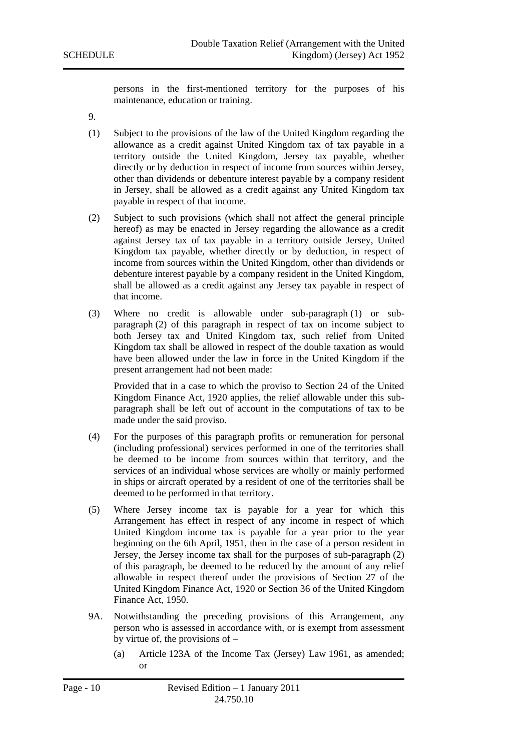persons in the first-mentioned territory for the purposes of his maintenance, education or training.

- 9.
- (1) Subject to the provisions of the law of the United Kingdom regarding the allowance as a credit against United Kingdom tax of tax payable in a territory outside the United Kingdom, Jersey tax payable, whether directly or by deduction in respect of income from sources within Jersey, other than dividends or debenture interest payable by a company resident in Jersey, shall be allowed as a credit against any United Kingdom tax payable in respect of that income.
- (2) Subject to such provisions (which shall not affect the general principle hereof) as may be enacted in Jersey regarding the allowance as a credit against Jersey tax of tax payable in a territory outside Jersey, United Kingdom tax payable, whether directly or by deduction, in respect of income from sources within the United Kingdom, other than dividends or debenture interest payable by a company resident in the United Kingdom, shall be allowed as a credit against any Jersey tax payable in respect of that income.
- (3) Where no credit is allowable under sub-paragraph (1) or subparagraph (2) of this paragraph in respect of tax on income subject to both Jersey tax and United Kingdom tax, such relief from United Kingdom tax shall be allowed in respect of the double taxation as would have been allowed under the law in force in the United Kingdom if the present arrangement had not been made:

Provided that in a case to which the proviso to Section 24 of the United Kingdom Finance Act, 1920 applies, the relief allowable under this subparagraph shall be left out of account in the computations of tax to be made under the said proviso.

- (4) For the purposes of this paragraph profits or remuneration for personal (including professional) services performed in one of the territories shall be deemed to be income from sources within that territory, and the services of an individual whose services are wholly or mainly performed in ships or aircraft operated by a resident of one of the territories shall be deemed to be performed in that territory.
- (5) Where Jersey income tax is payable for a year for which this Arrangement has effect in respect of any income in respect of which United Kingdom income tax is payable for a year prior to the year beginning on the 6th April, 1951, then in the case of a person resident in Jersey, the Jersey income tax shall for the purposes of sub-paragraph (2) of this paragraph, be deemed to be reduced by the amount of any relief allowable in respect thereof under the provisions of Section 27 of the United Kingdom Finance Act, 1920 or Section 36 of the United Kingdom Finance Act, 1950.
- 9A. Notwithstanding the preceding provisions of this Arrangement, any person who is assessed in accordance with, or is exempt from assessment by virtue of, the provisions of –
	- (a) Article 123A of the Income Tax (Jersey) Law 1961, as amended; or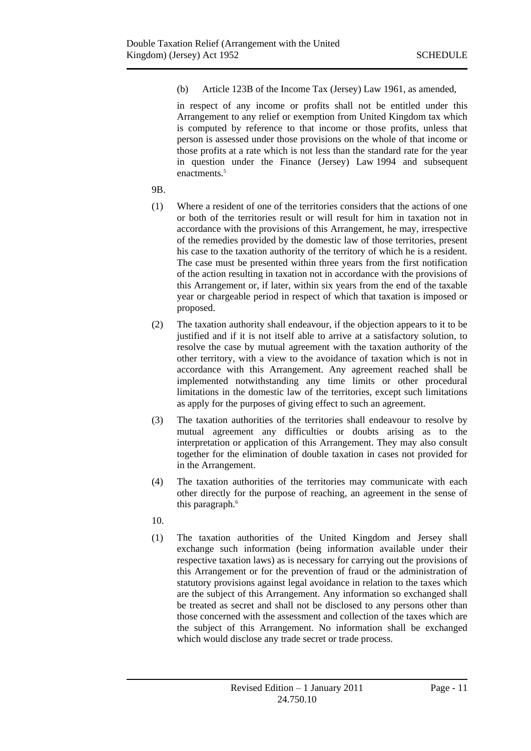(b) Article 123B of the Income Tax (Jersey) Law 1961, as amended,

in respect of any income or profits shall not be entitled under this Arrangement to any relief or exemption from United Kingdom tax which is computed by reference to that income or those profits, unless that person is assessed under those provisions on the whole of that income or those profits at a rate which is not less than the standard rate for the year in question under the Finance (Jersey) Law 1994 and subsequent enactments.<sup>5</sup>

- 9B.
- (1) Where a resident of one of the territories considers that the actions of one or both of the territories result or will result for him in taxation not in accordance with the provisions of this Arrangement, he may, irrespective of the remedies provided by the domestic law of those territories, present his case to the taxation authority of the territory of which he is a resident. The case must be presented within three years from the first notification of the action resulting in taxation not in accordance with the provisions of this Arrangement or, if later, within six years from the end of the taxable year or chargeable period in respect of which that taxation is imposed or proposed.
- (2) The taxation authority shall endeavour, if the objection appears to it to be justified and if it is not itself able to arrive at a satisfactory solution, to resolve the case by mutual agreement with the taxation authority of the other territory, with a view to the avoidance of taxation which is not in accordance with this Arrangement. Any agreement reached shall be implemented notwithstanding any time limits or other procedural limitations in the domestic law of the territories, except such limitations as apply for the purposes of giving effect to such an agreement.
- (3) The taxation authorities of the territories shall endeavour to resolve by mutual agreement any difficulties or doubts arising as to the interpretation or application of this Arrangement. They may also consult together for the elimination of double taxation in cases not provided for in the Arrangement.
- (4) The taxation authorities of the territories may communicate with each other directly for the purpose of reaching, an agreement in the sense of this paragraph.<sup>6</sup>
- 10.
- (1) The taxation authorities of the United Kingdom and Jersey shall exchange such information (being information available under their respective taxation laws) as is necessary for carrying out the provisions of this Arrangement or for the prevention of fraud or the administration of statutory provisions against legal avoidance in relation to the taxes which are the subject of this Arrangement. Any information so exchanged shall be treated as secret and shall not be disclosed to any persons other than those concerned with the assessment and collection of the taxes which are the subject of this Arrangement. No information shall be exchanged which would disclose any trade secret or trade process.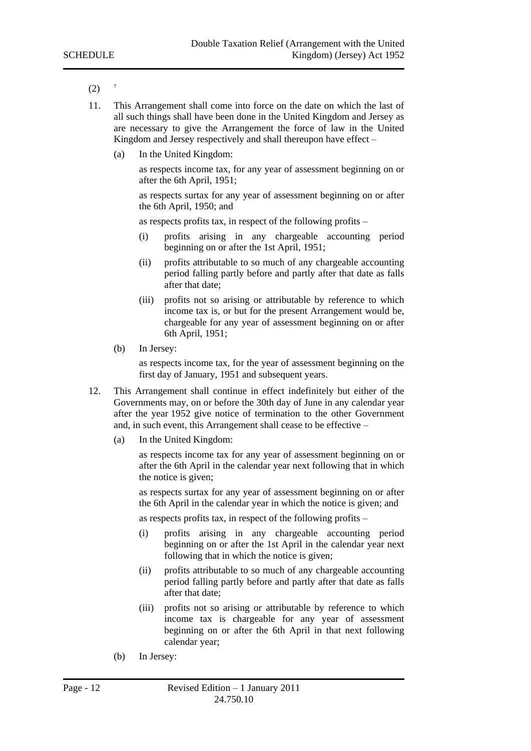- $(2)$  <sup>7</sup>
- 11. This Arrangement shall come into force on the date on which the last of all such things shall have been done in the United Kingdom and Jersey as are necessary to give the Arrangement the force of law in the United Kingdom and Jersey respectively and shall thereupon have effect –
	- (a) In the United Kingdom:

as respects income tax, for any year of assessment beginning on or after the 6th April, 1951;

as respects surtax for any year of assessment beginning on or after the 6th April, 1950; and

as respects profits tax, in respect of the following profits –

- (i) profits arising in any chargeable accounting period beginning on or after the 1st April, 1951;
- (ii) profits attributable to so much of any chargeable accounting period falling partly before and partly after that date as falls after that date;
- (iii) profits not so arising or attributable by reference to which income tax is, or but for the present Arrangement would be, chargeable for any year of assessment beginning on or after 6th April, 1951;
- (b) In Jersey:

as respects income tax, for the year of assessment beginning on the first day of January, 1951 and subsequent years.

- 12. This Arrangement shall continue in effect indefinitely but either of the Governments may, on or before the 30th day of June in any calendar year after the year 1952 give notice of termination to the other Government and, in such event, this Arrangement shall cease to be effective –
	- (a) In the United Kingdom:

as respects income tax for any year of assessment beginning on or after the 6th April in the calendar year next following that in which the notice is given;

as respects surtax for any year of assessment beginning on or after the 6th April in the calendar year in which the notice is given; and

as respects profits tax, in respect of the following profits –

- (i) profits arising in any chargeable accounting period beginning on or after the 1st April in the calendar year next following that in which the notice is given;
- (ii) profits attributable to so much of any chargeable accounting period falling partly before and partly after that date as falls after that date;
- (iii) profits not so arising or attributable by reference to which income tax is chargeable for any year of assessment beginning on or after the 6th April in that next following calendar year;
- (b) In Jersey: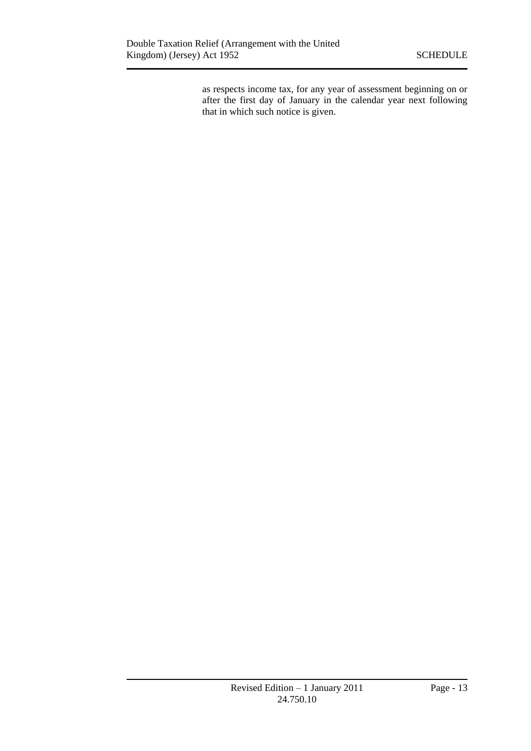as respects income tax, for any year of assessment beginning on or after the first day of January in the calendar year next following that in which such notice is given.